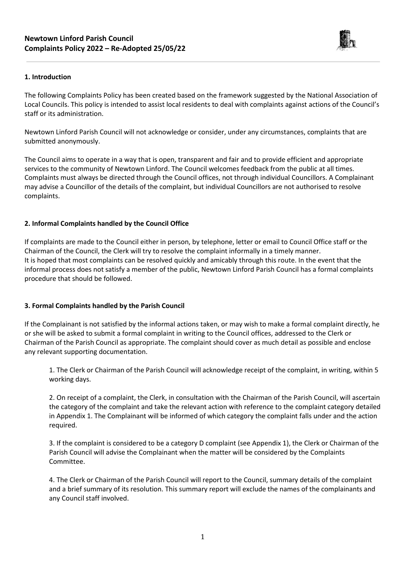

# **1. Introduction**

The following Complaints Policy has been created based on the framework suggested by the National Association of Local Councils. This policy is intended to assist local residents to deal with complaints against actions of the Council's staff or its administration.

Newtown Linford Parish Council will not acknowledge or consider, under any circumstances, complaints that are submitted anonymously.

The Council aims to operate in a way that is open, transparent and fair and to provide efficient and appropriate services to the community of Newtown Linford. The Council welcomes feedback from the public at all times. Complaints must always be directed through the Council offices, not through individual Councillors. A Complainant may advise a Councillor of the details of the complaint, but individual Councillors are not authorised to resolve complaints.

# **2. Informal Complaints handled by the Council Office**

If complaints are made to the Council either in person, by telephone, letter or email to Council Office staff or the Chairman of the Council, the Clerk will try to resolve the complaint informally in a timely manner. It is hoped that most complaints can be resolved quickly and amicably through this route. In the event that the informal process does not satisfy a member of the public, Newtown Linford Parish Council has a formal complaints procedure that should be followed.

### **3. Formal Complaints handled by the Parish Council**

If the Complainant is not satisfied by the informal actions taken, or may wish to make a formal complaint directly, he or she will be asked to submit a formal complaint in writing to the Council offices, addressed to the Clerk or Chairman of the Parish Council as appropriate. The complaint should cover as much detail as possible and enclose any relevant supporting documentation.

1. The Clerk or Chairman of the Parish Council will acknowledge receipt of the complaint, in writing, within 5 working days.

2. On receipt of a complaint, the Clerk, in consultation with the Chairman of the Parish Council, will ascertain the category of the complaint and take the relevant action with reference to the complaint category detailed in Appendix 1. The Complainant will be informed of which category the complaint falls under and the action required.

3. If the complaint is considered to be a category D complaint (see Appendix 1), the Clerk or Chairman of the Parish Council will advise the Complainant when the matter will be considered by the Complaints Committee.

4. The Clerk or Chairman of the Parish Council will report to the Council, summary details of the complaint and a brief summary of its resolution. This summary report will exclude the names of the complainants and any Council staff involved.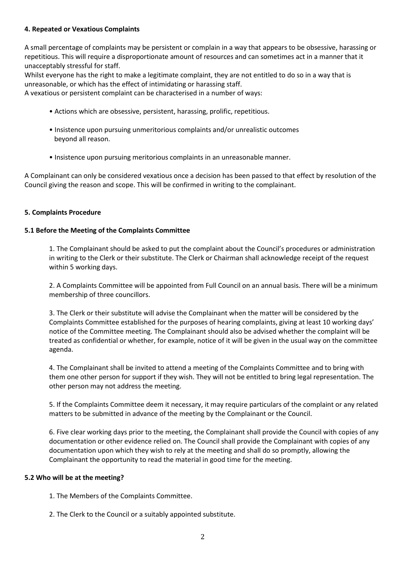# **4. Repeated or Vexatious Complaints**

A small percentage of complaints may be persistent or complain in a way that appears to be obsessive, harassing or repetitious. This will require a disproportionate amount of resources and can sometimes act in a manner that it unacceptably stressful for staff.

Whilst everyone has the right to make a legitimate complaint, they are not entitled to do so in a way that is unreasonable, or which has the effect of intimidating or harassing staff.

A vexatious or persistent complaint can be characterised in a number of ways:

- Actions which are obsessive, persistent, harassing, prolific, repetitious.
- Insistence upon pursuing unmeritorious complaints and/or unrealistic outcomes beyond all reason.
- Insistence upon pursuing meritorious complaints in an unreasonable manner.

A Complainant can only be considered vexatious once a decision has been passed to that effect by resolution of the Council giving the reason and scope. This will be confirmed in writing to the complainant.

# **5. Complaints Procedure**

# **5.1 Before the Meeting of the Complaints Committee**

1. The Complainant should be asked to put the complaint about the Council's procedures or administration in writing to the Clerk or their substitute. The Clerk or Chairman shall acknowledge receipt of the request within 5 working days.

2. A Complaints Committee will be appointed from Full Council on an annual basis. There will be a minimum membership of three councillors.

3. The Clerk or their substitute will advise the Complainant when the matter will be considered by the Complaints Committee established for the purposes of hearing complaints, giving at least 10 working days' notice of the Committee meeting. The Complainant should also be advised whether the complaint will be treated as confidential or whether, for example, notice of it will be given in the usual way on the committee agenda.

4. The Complainant shall be invited to attend a meeting of the Complaints Committee and to bring with them one other person for support if they wish. They will not be entitled to bring legal representation. The other person may not address the meeting.

5. If the Complaints Committee deem it necessary, it may require particulars of the complaint or any related matters to be submitted in advance of the meeting by the Complainant or the Council.

6. Five clear working days prior to the meeting, the Complainant shall provide the Council with copies of any documentation or other evidence relied on. The Council shall provide the Complainant with copies of any documentation upon which they wish to rely at the meeting and shall do so promptly, allowing the Complainant the opportunity to read the material in good time for the meeting.

### **5.2 Who will be at the meeting?**

1. The Members of the Complaints Committee.

2. The Clerk to the Council or a suitably appointed substitute.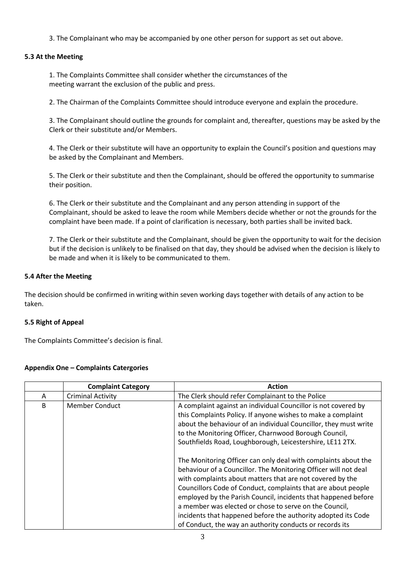3. The Complainant who may be accompanied by one other person for support as set out above.

# **5.3 At the Meeting**

1. The Complaints Committee shall consider whether the circumstances of the meeting warrant the exclusion of the public and press.

2. The Chairman of the Complaints Committee should introduce everyone and explain the procedure.

3. The Complainant should outline the grounds for complaint and, thereafter, questions may be asked by the Clerk or their substitute and/or Members.

4. The Clerk or their substitute will have an opportunity to explain the Council's position and questions may be asked by the Complainant and Members.

5. The Clerk or their substitute and then the Complainant, should be offered the opportunity to summarise their position.

6. The Clerk or their substitute and the Complainant and any person attending in support of the Complainant, should be asked to leave the room while Members decide whether or not the grounds for the complaint have been made. If a point of clarification is necessary, both parties shall be invited back.

7. The Clerk or their substitute and the Complainant, should be given the opportunity to wait for the decision but if the decision is unlikely to be finalised on that day, they should be advised when the decision is likely to be made and when it is likely to be communicated to them.

### **5.4 After the Meeting**

The decision should be confirmed in writing within seven working days together with details of any action to be taken.

### **5.5 Right of Appeal**

The Complaints Committee's decision is final.

| <b>Appendix One - Complaints Catergories</b> |  |
|----------------------------------------------|--|
|                                              |  |

|   | <b>Complaint Category</b> | <b>Action</b>                                                                                                                                                                                                                                                                                                                                                                                                                                                                                                            |
|---|---------------------------|--------------------------------------------------------------------------------------------------------------------------------------------------------------------------------------------------------------------------------------------------------------------------------------------------------------------------------------------------------------------------------------------------------------------------------------------------------------------------------------------------------------------------|
| A | <b>Criminal Activity</b>  | The Clerk should refer Complainant to the Police                                                                                                                                                                                                                                                                                                                                                                                                                                                                         |
| B | Member Conduct            | A complaint against an individual Councillor is not covered by<br>this Complaints Policy. If anyone wishes to make a complaint<br>about the behaviour of an individual Councillor, they must write<br>to the Monitoring Officer, Charnwood Borough Council,<br>Southfields Road, Loughborough, Leicestershire, LE11 2TX.                                                                                                                                                                                                 |
|   |                           | The Monitoring Officer can only deal with complaints about the<br>behaviour of a Councillor. The Monitoring Officer will not deal<br>with complaints about matters that are not covered by the<br>Councillors Code of Conduct, complaints that are about people<br>employed by the Parish Council, incidents that happened before<br>a member was elected or chose to serve on the Council,<br>incidents that happened before the authority adopted its Code<br>of Conduct, the way an authority conducts or records its |